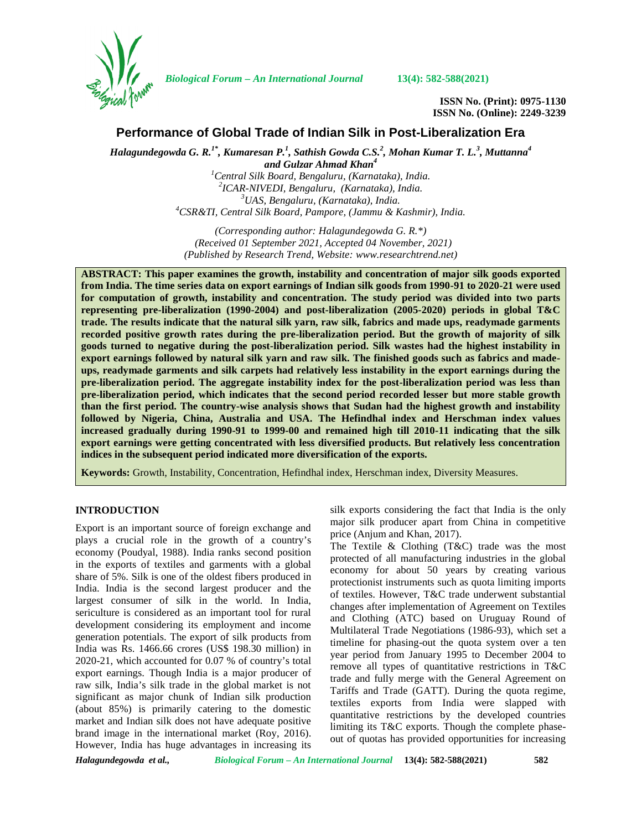

*Biological Forum – An International Journal* **13(4): 582-588(2021)**

**ISSN No. (Print): 0975-1130 ISSN No. (Online): 2249-3239**

# **Performance of Global Trade of Indian Silk in Post-Liberalization Era**

*Halagundegowda G. R.1\* , Kumaresan P.<sup>1</sup> , Sathish Gowda C.S.<sup>2</sup> , Mohan Kumar T. L.<sup>3</sup> , Muttanna<sup>4</sup>*

and Gulzar Ahmad Khan<sup>4</sup><br><sup>1</sup>Central Silk Board, Bengaluru, (Karnataka), India. <sup>2</sup>ICAR-NIVEDI, Bengaluru, (Karnataka), India.<br><sup>3</sup>UAS, Bengaluru, (Karnataka), India.<br><sup>4</sup>CSR&TI, Central Silk Board, Pampore, (Jammu & Kashmir), India.

*(Corresponding author: Halagundegowda G. R.\*) (Received 01 September 2021, Accepted 04 November, 2021) (Published by Research Trend, Website: [www.researchtrend.net\)](www.researchtrend.net)*

**ABSTRACT: This paper examines the growth, instability and concentration of major silk goods exported from India. The time series data on export earnings of Indian silk goods from 1990-91 to 2020-21 were used for computation of growth, instability and concentration. The study period was divided into two parts representing pre-liberalization (1990-2004) and post-liberalization (2005-2020) periods in global T&C trade. The results indicate that the natural silk yarn, raw silk, fabrics and made ups, readymade garments recorded positive growth rates during the pre-liberalization period. But the growth of majority of silk goods turned to negative during the post-liberalization period. Silk wastes had the highest instability in export earnings followed by natural silk yarn and raw silk. The finished goods such as fabrics and made ups, readymade garments and silk carpets had relatively less instability in the export earnings during the pre-liberalization period. The aggregate instability index for the post-liberalization period was less than pre-liberalization period, which indicates that the second period recorded lesser but more stable growth than the first period. The country-wise analysis shows that Sudan had the highest growth and instability followed by Nigeria, China, Australia and USA. The Hefindhal index and Herschman index values increased gradually during 1990-91 to 1999-00 and remained high till 2010-11 indicating that the silk export earnings were getting concentrated with less diversified products. But relatively less concentration indices in the subsequent period indicated more diversification of the exports.**

**Keywords:** Growth, Instability, Concentration, Hefindhal index, Herschman index, Diversity Measures.

## **INTRODUCTION**

Export is an important source of foreign exchange and plays a crucial role in the growth of a country's economy (Poudyal, 1988). India ranks second position in the exports of textiles and garments with a global share of 5%. Silk is one of the oldest fibers produced in India. India is the second largest producer and the largest consumer of silk in the world. In India, sericulture is considered as an important tool for rural development considering its employment and income generation potentials. The export of silk products from India was Rs. 1466.66 crores (US\$ 198.30 million) in 2020-21, which accounted for 0.07 % of country's total export earnings. Though India is a major producer of raw silk, India's silk trade in the global market is not significant as major chunk of Indian silk production (about 85%) is primarily catering to the domestic market and Indian silk does not have adequate positive brand image in the international market (Roy, 2016). However, India has huge advantages in increasing its

silk exports considering the fact that India is the only major silk producer apart from China in competitive price (Anjum and Khan, 2017).

The Textile & Clothing (T&C) trade was the most protected of all manufacturing industries in the global economy for about 50 years by creating various protectionist instruments such as quota limiting imports of textiles. However, T&C trade underwent substantial changes after implementation of Agreement on Textiles and Clothing (ATC) based on Uruguay Round of Multilateral Trade Negotiations (1986-93), which set a timeline for phasing-out the quota system over a ten year period from January 1995 to December 2004 to remove all types of quantitative restrictions in T&C trade and fully merge with the General Agreement on Tariffs and Trade (GATT). During the quota regime, textiles exports from India were slapped with quantitative restrictions by the developed countries limiting its T&C exports. Though the complete phase out of quotas has provided opportunities for increasing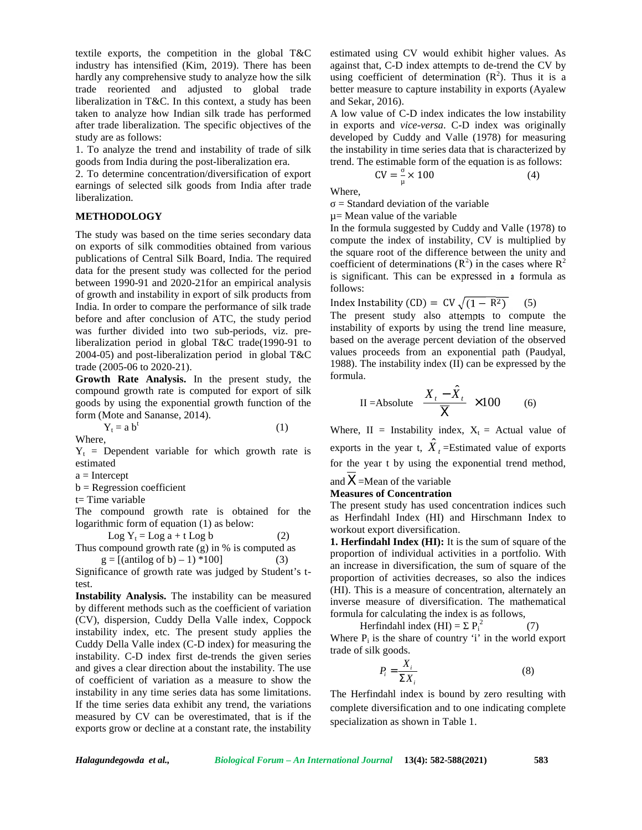textile exports, the competition in the global T&C industry has intensified (Kim, 2019). There has been hardly any comprehensive study to analyze how the silk trade reoriented and adjusted to global trade liberalization in T&C. In this context, a study has been taken to analyze how Indian silk trade has performed after trade liberalization. The specific objectives of the study are as follows:

1. To analyze the trend and instability of trade of silk goods from India during the post-liberalization era.

2. To determine concentration/diversification of export earnings of selected silk goods from India after trade liberalization.

# **METHODOLOGY**

The study was based on the time series secondary data on exports of silk commodities obtained from various publications of Central Silk Board, India. The required data for the present study was collected for the period between 1990-91 and 2020-21for an empirical analysis of growth and instability in export of silk products from India. In order to compare the performance of silk trade before and after conclusion of ATC, the study period was further divided into two sub-periods, viz. preliberalization period in global T&C trade(1990-91 to 2004-05) and post-liberalization period in global T&C trade (2005-06 to 2020-21).

**Growth Rate Analysis.** In the present study, the compound growth rate is computed for export of silk goods by using the exponential growth function of the form (Mote and Sananse, 2014).

 $Y_t = a b^t$  (1) Where,

 $Y_t$  = Dependent variable for which growth rate is estimated

 $a =$ Intercept

 $b =$ Regression coefficient

t= Time variable

The compound growth rate is obtained for the logarithmic form of equation (1) as below:

Log Y<sub>t</sub> = Log a + t Log b (2)  
Thus compound growth rate (g) in % is computed as  

$$
g = [(\text{antilog of b}) - 1) * 100]
$$
 (3)

Significance of growth rate was judged by Student's ttest.

**Instability Analysis.** The instability can be measured by different methods such as the coefficient of variation (CV), dispersion, Cuddy Della Valle index, Coppock instability index, etc. The present study applies the Cuddy Della Valle index (C-D index) for measuring the instability. C-D index first de-trends the given series and gives a clear direction about the instability. The use of coefficient of variation as a measure to show the instability in any time series data has some limitations. If the time series data exhibit any trend, the variations measured by CV can be overestimated, that is if the exports grow or decline at a constant rate, the instability

estimated using CV would exhibit higher values. As against that, C-D index attempts to de-trend the CV by using coefficient of determination  $(R^2)$ . Thus it is a better measure to capture instability in exports (Ayalew and Sekar, 2016).

A low value of C-D index indicates the low instability in exports and *vice-versa*. C-D index was originally developed by Cuddy and Valle (1978) for measuring the instability in time series data that is characterized by trend. The estimable form of the equation is as follows:

 $CV = -\frac{1}{\mu} \times 100$  (4)

Where,

 $=$  Standard deviation of the variable

µ= Mean value of the variable

In the formula suggested by Cuddy and Valle (1978) to compute the index of instability, CV is multiplied by the square root of the difference between the unity and coefficient of determinations  $(R^2)$  in the cases where  $R^2$ is significant. This can be expressed in a formula as follows:

Index Instability (CD) =  $CV\sqrt{(1 - R^2)}$  (5) The present study also attempts to compute the instability of exports by using the trend line measure, based on the average percent deviation of the observed values proceeds from an exponential path (Paudyal, 1988). The instability index (II) can be expressed by the formula.

$$
II = Absolute \left[ \frac{X_t - \hat{X}_t}{\overline{X}} \right] \times 100 \qquad (6)
$$

Where, II = Instability index,  $X_t$  = Actual value of exports in the year t,  $\hat{X}_t =$ Estimated value of exports for the year t by using the exponential trend method, and  $X=$ Mean of the variable

# **Measures of Concentration**

The present study has used concentration indices such as Herfindahl Index (HI) and Hirschmann Index to workout export diversification.

**1. Herfindahl Index (HI):** It is the sum of square of the proportion of individual activities in a portfolio. With an increase in diversification, the sum of square of the proportion of activities decreases, so also the indices (HI). This is a measure of concentration, alternately an inverse measure of diversification. The mathematical formula for calculating the index is as follows,

Herfindahl index  $(HI) = P_i^2$  (7) Where  $P_i$  is the share of country 'i' in the world export trade of silk goods.

$$
P_i = \frac{X_i}{\sum X_i} \tag{8}
$$

The Herfindahl index is bound by zero resulting with complete diversification and to one indicating complete specialization as shown in Table 1.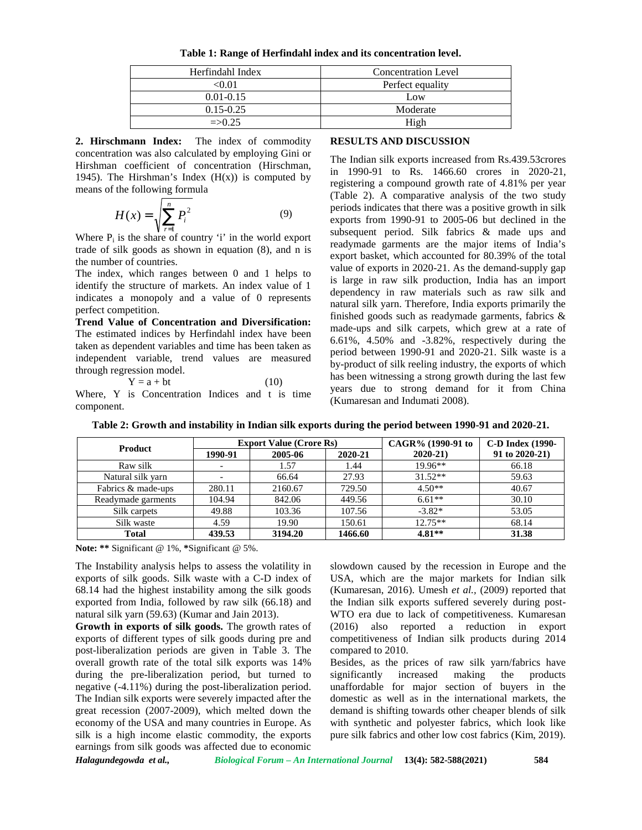**Table 1: Range of Herfindahl index and its concentration level.**

| Herfindahl Index | <b>Concentration Level</b> |
|------------------|----------------------------|
| <0.01            | Perfect equality           |
| $0.01 - 0.15$    | Low                        |
| $0.15 - 0.25$    | Moderate                   |
| $\equiv$ 0.25    | High                       |

**2. Hirschmann Index:** The index of commodity concentration was also calculated by employing Gini or Hirshman coefficient of concentration (Hirschman, 1945). The Hirshman's Index  $(H(x))$  is computed by means of the following formula

$$
H(x) = \sqrt{\sum_{r=1}^{n} P_i^2}
$$
 (9) periods is  
exports  
subsequ

Where P<sub>i</sub> is the share of country 'i' in the world export trade of silk goods as shown in equation (8), and n is the number of countries.

The index, which ranges between 0 and 1 helps to identify the structure of markets. An index value of 1 indicates a monopoly and a value of 0 represents perfect competition.

**Trend Value of Concentration and Diversification:** The estimated indices by Herfindahl index have been taken as dependent variables and time has been taken as independent variable, trend values are measured through regression model.

$$
Y = a + bt \tag{10}
$$

Where, Y is Concentration Indices and t is time component.

## **RESULTS AND DISCUSSION**

The Indian silk exports increased from Rs.439.53crores in 1990-91 to Rs. 1466.60 crores in 2020-21, registering a compound growth rate of 4.81% per year (Table 2). A comparative analysis of the two study periods indicates that there was a positive growth in silk  $H(x) = \sqrt{\sum_{r=1}^{n} P_i^2}$  (9)  $\frac{P_i}{\text{exports from 1990-91 to 2005-06 but declined in the subsequent period. Silk fohries. R made, uns. and$ subsequent period. Silk fabrics & made ups and readymade garments are the major items of India's export basket, which accounted for 80.39% of the total value of exports in 2020-21. As the demand-supply gap is large in raw silk production, India has an import dependency in raw materials such as raw silk and natural silk yarn. Therefore, India exports primarily the finished goods such as readymade garments, fabrics & made-ups and silk carpets, which grew at a rate of 6.61%, 4.50% and -3.82%, respectively during the period between 1990-91 and 2020-21. Silk waste is a by-product of silk reeling industry, the exports of which has been witnessing a strong growth during the last few years due to strong demand for it from China (Kumaresan and Indumati 2008).

| <b>Product</b>     |         | <b>Export Value (Crore Rs)</b> |         | CAGR% (1990-91 to | C-D Index (1990-    |
|--------------------|---------|--------------------------------|---------|-------------------|---------------------|
|                    | 1990-91 | 2005-06                        | 2020-21 | $2020 - 21$       | $91$ to $2020-21$ ) |
| Raw silk           |         | 1.57                           | 1.44    | 19.96**           | 66.18               |
| Natural silk yarn  |         | 66.64                          | 27.93   | $31.52**$         | 59.63               |
| Fabrics & made-ups | 280.11  | 2160.67                        | 729.50  | $4.50**$          | 40.67               |
| Readymade garments | 104.94  | 842.06                         | 449.56  | $6.61**$          | 30.10               |
| Silk carpets       | 49.88   | 103.36                         | 107.56  | $-3.82*$          | 53.05               |
| Silk waste         | 4.59    | 19.90                          | 150.61  | $12.75**$         | 68.14               |
| <b>Total</b>       | 439.53  | 3194.20                        | 1466.60 | $4.81**$          | 31.38               |

**Table 2: Growth and instability in Indian silk exports during the period between 1990-91 and 2020-21.**

**Note: \*\*** Significant @ 1%, **\***Significant @ 5%.

The Instability analysis helps to assess the volatility in exports of silk goods. Silk waste with a C-D index of 68.14 had the highest instability among the silk goods exported from India, followed by raw silk (66.18) and natural silk yarn (59.63) (Kumar and Jain 2013).

**Growth in exports of silk goods.** The growth rates of exports of different types of silk goods during pre and post-liberalization periods are given in Table 3. The overall growth rate of the total silk exports was 14% during the pre-liberalization period, but turned to significantly increased negative (-4.11%) during the post-liberalization period. The Indian silk exports were severely impacted after the great recession (2007-2009), which melted down the economy of the USA and many countries in Europe. As silk is a high income elastic commodity, the exports earnings from silk goods was affected due to economic

slowdown caused by the recession in Europe and the USA, which are the major markets for Indian silk (Kumaresan, 2016). Umesh *et al.,* (2009) reported that the Indian silk exports suffered severely during post- WTO era due to lack of competitiveness. Kumaresan (2016) also reported a reduction in export competitiveness of Indian silk products during 2014 compared to 2010.

Besides, as the prices of raw silk yarn/fabrics have making the products unaffordable for major section of buyers in the domestic as well as in the international markets, the demand is shifting towards other cheaper blends of silk with synthetic and polyester fabrics, which look like pure silk fabrics and other low cost fabrics (Kim, 2019).

*Halagundegowda et al., Biological Forum – An International Journal* **13(4): 582-588(2021) 584**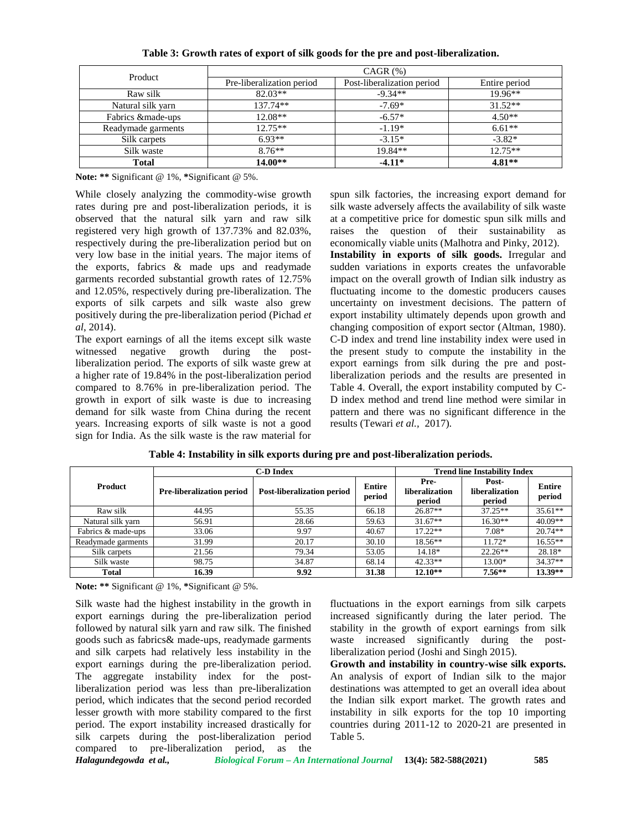| Product            | $CAGR$ $(\%)$             |                            |               |  |  |  |  |
|--------------------|---------------------------|----------------------------|---------------|--|--|--|--|
|                    | Pre-liberalization period | Post-liberalization period | Entire period |  |  |  |  |
| Raw silk           | $82.03**$                 | $-9.34**$                  | $19.96**$     |  |  |  |  |
| Natural silk yarn  | $137.74**$                | $-7.69*$                   | $31.52**$     |  |  |  |  |
| Fabrics & made-ups | $12.08**$                 | $-6.57*$                   | $4.50**$      |  |  |  |  |
| Readymade garments | $12.75**$                 | $-1.19*$                   | $6.61**$      |  |  |  |  |
| Silk carpets       | $6.93**$                  | $-3.15*$                   | $-3.82*$      |  |  |  |  |
| Silk waste         | $8.76**$                  | $19.84**$                  | $12.75**$     |  |  |  |  |
| <b>Total</b>       | $14.00**$                 | $-4.11*$                   | $4.81**$      |  |  |  |  |

**Table 3: Growth rates of export of silk goods for the pre and post-liberalization.**

**Note: \*\*** Significant @ 1%, **\***Significant @ 5%.

While closely analyzing the commodity-wise growth rates during pre and post-liberalization periods, it is observed that the natural silk yarn and raw silk registered very high growth of 137.73% and 82.03%, respectively during the pre-liberalization period but on very low base in the initial years. The major items of the exports, fabrics & made ups and readymade garments recorded substantial growth rates of 12.75% and 12.05%, respectively during pre-liberalization. The exports of silk carpets and silk waste also grew positively during the pre-liberalization period (Pichad *et al*, 2014).

The export earnings of all the items except silk waste witnessed negative growth during the postliberalization period. The exports of silk waste grew at a higher rate of 19.84% in the post-liberalization period compared to 8.76% in pre-liberalization period. The growth in export of silk waste is due to increasing demand for silk waste from China during the recent years. Increasing exports of silk waste is not a good sign for India. As the silk waste is the raw material for spun silk factories, the increasing export demand for silk waste adversely affects the availability of silk waste at a competitive price for domestic spun silk mills and raises the question of their sustainability as economically viable units (Malhotra and Pinky, 2012).

**Instability in exports of silk goods.** Irregular and sudden variations in exports creates the unfavorable impact on the overall growth of Indian silk industry as fluctuating income to the domestic producers causes uncertainty on investment decisions. The pattern of export instability ultimately depends upon growth and changing composition of export sector (Altman, 1980). C-D index and trend line instability index were used in the present study to compute the instability in the export earnings from silk during the pre and postliberalization periods and the results are presented in Table 4. Overall, the export instability computed by C- D index method and trend line method were similar in pattern and there was no significant difference in the results (Tewari *et al.,* 2017).

|                    |                                                                | <b>C-D Index</b> | <b>Trend line Instability Index</b> |                                  |                                   |                         |
|--------------------|----------------------------------------------------------------|------------------|-------------------------------------|----------------------------------|-----------------------------------|-------------------------|
| <b>Product</b>     | <b>Post-liberalization period</b><br>Pre-liberalization period |                  | <b>Entire</b><br>period             | Pre-<br>liberalization<br>period | Post-<br>liberalization<br>period | <b>Entire</b><br>period |
| Raw silk           | 44.95                                                          | 55.35            | 66.18                               | $26.87**$                        | $37.25**$                         | $35.61**$               |
| Natural silk yarn  | 56.91                                                          | 28.66            | 59.63                               | $31.67**$                        | $16.30**$                         | $40.09**$               |
| Fabrics & made-ups | 33.06                                                          | 9.97             | 40.67                               | $17.22**$                        | 7.08*                             | $20.74**$               |
| Readymade garments | 31.99                                                          | 20.17            | 30.10                               | $18.56**$                        | 11.72*                            | $16.55**$               |
| Silk carpets       | 21.56                                                          | 79.34            | 53.05                               | 14.18*                           | $22.26**$                         | 28.18*                  |
| Silk waste         | 98.75                                                          | 34.87            | 68.14                               | $42.33**$                        | 13.00*                            | $34.37**$               |
| <b>Total</b>       | 16.39                                                          | 9.92             | 31.38                               | $12.10**$                        | $7.56**$                          | $13.39**$               |

**Table 4: Instability in silk exports during pre and post-liberalization periods.**

**Note: \*\*** Significant @ 1%, **\***Significant @ 5%.

*Halagundegowda et al., Biological Forum – An International Journal* **13(4): 582-588(2021) 585** Silk waste had the highest instability in the growth in export earnings during the pre-liberalization period followed by natural silk yarn and raw silk. The finished goods such as fabrics& made-ups, readymade garments and silk carpets had relatively less instability in the export earnings during the pre-liberalization period. The aggregate instability index for the postliberalization period was less than pre-liberalization period, which indicates that the second period recorded lesser growth with more stability compared to the first period. The export instability increased drastically for silk carpets during the post-liberalization period compared to pre-liberalization period, as the

fluctuations in the export earnings from silk carpets increased significantly during the later period. The stability in the growth of export earnings from silk waste increased significantly during the postliberalization period (Joshi and Singh 2015).

**Growth and instability in country-wise silk exports.** An analysis of export of Indian silk to the major destinations was attempted to get an overall idea about the Indian silk export market. The growth rates and instability in silk exports for the top 10 importing countries during 2011-12 to 2020-21 are presented in Table 5.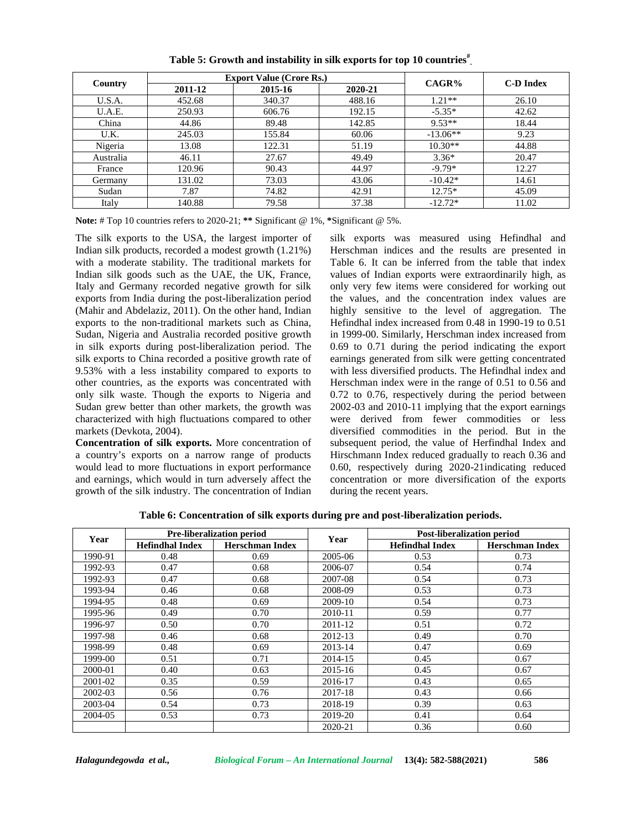|           |         | <b>Export Value (Crore Rs.)</b> | CAGR%   | C-D Index  |       |
|-----------|---------|---------------------------------|---------|------------|-------|
| Country   | 2011-12 | 2015-16                         | 2020-21 |            |       |
| U.S.A.    | 452.68  | 340.37                          | 488.16  | $1.21**$   | 26.10 |
| U.A.E.    | 250.93  | 606.76                          | 192.15  | $-5.35*$   | 42.62 |
| China     | 44.86   | 89.48                           | 142.85  | $9.53**$   | 18.44 |
| U.K.      | 245.03  | 155.84                          | 60.06   | $-13.06**$ | 9.23  |
| Nigeria   | 13.08   | 122.31                          | 51.19   | $10.30**$  | 44.88 |
| Australia | 46.11   | 27.67                           | 49.49   | $3.36*$    | 20.47 |
| France    | 120.96  | 90.43                           | 44.97   | $-9.79*$   | 12.27 |
| Germany   | 131.02  | 73.03                           | 43.06   | $-10.42*$  | 14.61 |
| Sudan     | 7.87    | 74.82                           | 42.91   | $12.75*$   | 45.09 |
| Italy     | 140.88  | 79.58                           | 37.38   | $-12.72*$  | 11.02 |

**Table 5: Growth and instability in silk exports for top 10 countries# .**

**Note:** # Top 10 countries refers to 2020-21; **\*\*** Significant @ 1%, **\***Significant @ 5%.

The silk exports to the USA, the largest importer of Indian silk products, recorded a modest growth (1.21%) with a moderate stability. The traditional markets for Indian silk goods such as the UAE, the UK, France, Italy and Germany recorded negative growth for silk exports from India during the post-liberalization period (Mahir and Abdelaziz, 2011). On the other hand, Indian exports to the non-traditional markets such as China, Sudan, Nigeria and Australia recorded positive growth in silk exports during post-liberalization period. The silk exports to China recorded a positive growth rate of 9.53% with a less instability compared to exports to other countries, as the exports was concentrated with only silk waste. Though the exports to Nigeria and Sudan grew better than other markets, the growth was characterized with high fluctuations compared to other markets (Devkota, 2004).

**Concentration of silk exports.** More concentration of a country's exports on a narrow range of products would lead to more fluctuations in export performance and earnings, which would in turn adversely affect the growth of the silk industry. The concentration of Indian

silk exports was measured using Hefindhal and Herschman indices and the results are presented in Table 6. It can be inferred from the table that index values of Indian exports were extraordinarily high, as only very few items were considered for working out the values, and the concentration index values are highly sensitive to the level of aggregation. The Hefindhal index increased from 0.48 in 1990-19 to 0.51 in 1999-00. Similarly, Herschman index increased from 0.69 to 0.71 during the period indicating the export earnings generated from silk were getting concentrated with less diversified products. The Hefindhal index and Herschman index were in the range of 0.51 to 0.56 and 0.72 to 0.76, respectively during the period between 2002-03 and 2010-11 implying that the export earnings were derived from fewer commodities or less diversified commodities in the period. But in the subsequent period, the value of Herfindhal Index and Hirschmann Index reduced gradually to reach 0.36 and 0.60, respectively during 2020-21indicating reduced concentration or more diversification of the exports during the recent years.

|         |                                                  | <b>Pre-liberalization period</b> |         | <b>Post-liberalization period</b><br>Year |                        |
|---------|--------------------------------------------------|----------------------------------|---------|-------------------------------------------|------------------------|
| Year    | <b>Hefindhal Index</b><br><b>Herschman Index</b> |                                  |         | <b>Hefindhal Index</b>                    | <b>Herschman Index</b> |
| 1990-91 | 0.48                                             | 0.69                             | 2005-06 | 0.53                                      | 0.73                   |
| 1992-93 | 0.47                                             | 0.68                             | 2006-07 | 0.54                                      | 0.74                   |
| 1992-93 | 0.47                                             | 0.68                             | 2007-08 | 0.54                                      | 0.73                   |
| 1993-94 | 0.46                                             | 0.68                             | 2008-09 | 0.53                                      | 0.73                   |
| 1994-95 | 0.48                                             | 0.69                             | 2009-10 | 0.54                                      | 0.73                   |
| 1995-96 | 0.49                                             | 0.70                             | 2010-11 | 0.59                                      | 0.77                   |
| 1996-97 | 0.50                                             | 0.70                             | 2011-12 | 0.51                                      | 0.72                   |
| 1997-98 | 0.46                                             | 0.68                             | 2012-13 | 0.49                                      | 0.70                   |
| 1998-99 | 0.48                                             | 0.69                             | 2013-14 | 0.47                                      | 0.69                   |
| 1999-00 | 0.51                                             | 0.71                             | 2014-15 | 0.45                                      | 0.67                   |
| 2000-01 | 0.40                                             | 0.63                             | 2015-16 | 0.45                                      | 0.67                   |
| 2001-02 | 0.35                                             | 0.59                             | 2016-17 | 0.43                                      | 0.65                   |
| 2002-03 | 0.56                                             | 0.76                             | 2017-18 | 0.43                                      | 0.66                   |
| 2003-04 | 0.54                                             | 0.73                             | 2018-19 | 0.39                                      | 0.63                   |
| 2004-05 | 0.53                                             | 0.73                             | 2019-20 | 0.41                                      | 0.64                   |
|         |                                                  |                                  | 2020-21 | 0.36                                      | 0.60                   |

**Table 6: Concentration of silk exports during pre and post-liberalization periods.**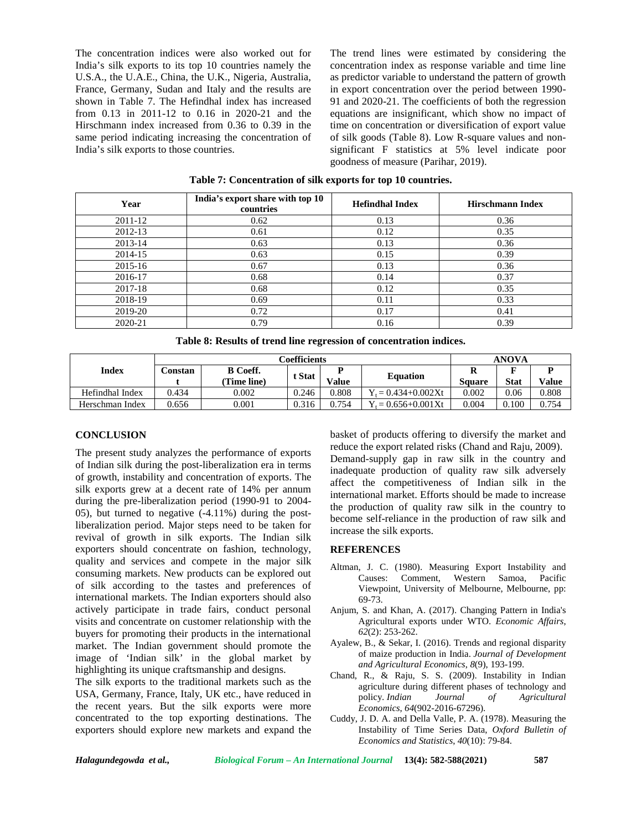The concentration indices were also worked out for India's silk exports to its top 10 countries namely the U.S.A., the U.A.E., China, the U.K., Nigeria, Australia, France, Germany, Sudan and Italy and the results are shown in Table 7. The Hefindhal index has increased from 0.13 in 2011-12 to 0.16 in 2020-21 and the Hirschmann index increased from 0.36 to 0.39 in the same period indicating increasing the concentration of India's silk exports to those countries.

The trend lines were estimated by considering the concentration index as response variable and time line as predictor variable to understand the pattern of growth in export concentration over the period between 1990- 91 and 2020-21. The coefficients of both the regression equations are insignificant, which show no impact of time on concentration or diversification of export value of silk goods (Table 8). Low R-square values and non significant F statistics at 5% level indicate poor goodness of measure (Parihar, 2019).

| Year    | India's export share with top 10<br>countries | <b>Hefindhal Index</b> | <b>Hirschmann Index</b> |
|---------|-----------------------------------------------|------------------------|-------------------------|
| 2011-12 | 0.62                                          | 0.13                   | 0.36                    |
| 2012-13 | 0.61                                          | 0.12                   | 0.35                    |
| 2013-14 | 0.63                                          | 0.13                   | 0.36                    |
| 2014-15 | 0.63                                          | 0.15                   | 0.39                    |
| 2015-16 | 0.67                                          | 0.13                   | 0.36                    |
| 2016-17 | 0.68                                          | 0.14                   | 0.37                    |
| 2017-18 | 0.68                                          | 0.12                   | 0.35                    |
| 2018-19 | 0.69                                          | 0.11                   | 0.33                    |
| 2019-20 | 0.72                                          | 0.17                   | 0.41                    |
| 2020-21 | 0.79                                          | 0.16                   | 0.39                    |

**Table 7: Concentration of silk exports for top 10 countries.**

|  |  |  |  | Table 8: Results of trend line regression of concentration indices. |  |
|--|--|--|--|---------------------------------------------------------------------|--|
|  |  |  |  |                                                                     |  |

|                 |          | Coefficients    | <b>ANOVA</b> |       |                           |        |             |       |
|-----------------|----------|-----------------|--------------|-------|---------------------------|--------|-------------|-------|
| Index           | Constan- | <b>B</b> Coeff. | t Stat       |       |                           |        |             |       |
|                 |          | (Time line)     |              | Value | <b>Equation</b>           | Sauare | <b>Stat</b> | Value |
| Hefindhal Index | 0.434    | 0.002           | 0.246        | 0.808 | $Y_t = 0.434 + 0.002Xt$   | 0.002  | 0.06        | 0.808 |
| Herschman Index | 0.656    | 0.001           | 0.316        | 0.754 | $\zeta = 0.656 + 0.001Xt$ | 0.004  | 0.100       | 0.754 |

### **CONCLUSION**

The present study analyzes the performance of exports of Indian silk during the post-liberalization era in terms of growth, instability and concentration of exports. The silk exports grew at a decent rate of 14% per annum during the pre-liberalization period (1990-91 to 2004- 05), but turned to negative (-4.11%) during the postliberalization period. Major steps need to be taken for revival of growth in silk exports. The Indian silk exporters should concentrate on fashion, technology, quality and services and compete in the major silk consuming markets. New products can be explored out of silk according to the tastes and preferences of international markets. The Indian exporters should also actively participate in trade fairs, conduct personal visits and concentrate on customer relationship with the buyers for promoting their products in the international market. The Indian government should promote the image of 'Indian silk' in the global market by highlighting its unique craftsmanship and designs.

The silk exports to the traditional markets such as the USA, Germany, France, Italy, UK etc., have reduced in the recent years. But the silk exports were more concentrated to the top exporting destinations. The exporters should explore new markets and expand the

basket of products offering to diversify the market and reduce the export related risks (Chand and Raju, 2009). Demand-supply gap in raw silk in the country and inadequate production of quality raw silk adversely affect the competitiveness of Indian silk in the international market. Efforts should be made to increase the production of quality raw silk in the country to become self-reliance in the production of raw silk and increase the silk exports.

#### **REFERENCES**

- Altman, J. C. (1980). Measuring Export Instability and Causes: Comment, Western Samoa, Pacific Viewpoint, University of Melbourne, Melbourne, pp: 69-73.
- Anjum, S. and Khan, A. (2017). Changing Pattern in India's Agricultural exports under WTO. *Economic Affairs*, *62*(2): 253-262.
- Ayalew, B., & Sekar, I. (2016). Trends and regional disparity of maize production in India. *Journal of Development and Agricultural Economics*, *8*(9), 193-199.
- Chand, R., & Raju, S. S. (2009). Instability in Indian agriculture during different phases of technology and policy. *Indian Journal of Agricultural Economics*, *64*(902-2016-67296).
- Cuddy, J. D. A. and Della Valle, P. A. (1978). Measuring the Instability of Time Series Data, *Oxford Bulletin of Economics and Statistics*, *40*(10): 79-84.